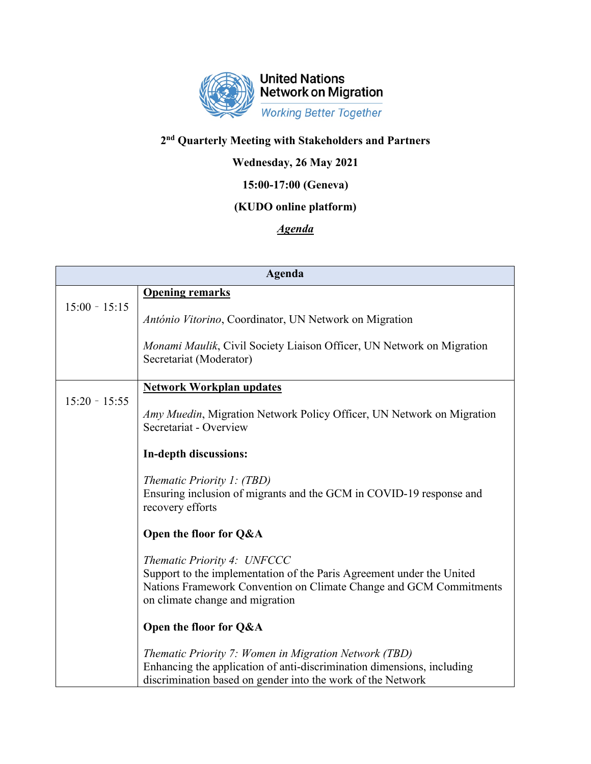

# **2nd Quarterly Meeting with Stakeholders and Partners**

# **Wednesday, 26 May 2021**

# **15:00-17:00 (Geneva)**

## **(KUDO online platform)**

#### *Agenda*

| Agenda          |                                                                                                                                                                                                               |
|-----------------|---------------------------------------------------------------------------------------------------------------------------------------------------------------------------------------------------------------|
|                 | <b>Opening remarks</b>                                                                                                                                                                                        |
| $15:00 - 15:15$ | António Vitorino, Coordinator, UN Network on Migration                                                                                                                                                        |
|                 | Monami Maulik, Civil Society Liaison Officer, UN Network on Migration<br>Secretariat (Moderator)                                                                                                              |
|                 | <b>Network Workplan updates</b>                                                                                                                                                                               |
| $15:20 - 15:55$ | Amy Muedin, Migration Network Policy Officer, UN Network on Migration<br>Secretariat - Overview                                                                                                               |
|                 | In-depth discussions:                                                                                                                                                                                         |
|                 | Thematic Priority 1: (TBD)<br>Ensuring inclusion of migrants and the GCM in COVID-19 response and<br>recovery efforts                                                                                         |
|                 | Open the floor for Q&A                                                                                                                                                                                        |
|                 | Thematic Priority 4: UNFCCC<br>Support to the implementation of the Paris Agreement under the United<br>Nations Framework Convention on Climate Change and GCM Commitments<br>on climate change and migration |
|                 | Open the floor for Q&A                                                                                                                                                                                        |
|                 | Thematic Priority 7: Women in Migration Network (TBD)<br>Enhancing the application of anti-discrimination dimensions, including<br>discrimination based on gender into the work of the Network                |